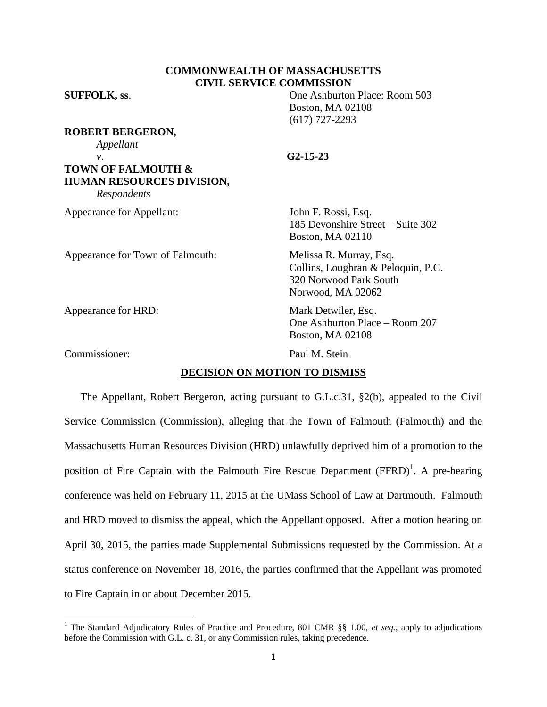# **COMMONWEALTH OF MASSACHUSETTS CIVIL SERVICE COMMISSION**

**SUFFOLK, ss**. One Ashburton Place: Room 503 Boston, MA 02108 (617) 727-2293

**ROBERT BERGERON,** *Appellant v*. **G2-15-23 TOWN OF FALMOUTH & HUMAN RESOURCES DIVISION,**

*Respondents*

Appearance for Appellant: John F. Rossi, Esq.

Appearance for Town of Falmouth: Melissa R. Murray, Esq.

Appearance for HRD: Mark Detwiler, Esq.

Commissioner: Paul M. Stein

 $\overline{\phantom{a}}$ 

185 Devonshire Street – Suite 302 Boston, MA 02110

Collins, Loughran & Peloquin, P.C. 320 Norwood Park South Norwood, MA 02062

One Ashburton Place – Room 207 Boston, MA 02108

## **DECISION ON MOTION TO DISMISS**

The Appellant, Robert Bergeron, acting pursuant to G.L.c.31, §2(b), appealed to the Civil Service Commission (Commission), alleging that the Town of Falmouth (Falmouth) and the Massachusetts Human Resources Division (HRD) unlawfully deprived him of a promotion to the position of Fire Captain with the Falmouth Fire Rescue Department  $(FFRD)^{1}$ . A pre-hearing conference was held on February 11, 2015 at the UMass School of Law at Dartmouth. Falmouth and HRD moved to dismiss the appeal, which the Appellant opposed. After a motion hearing on April 30, 2015, the parties made Supplemental Submissions requested by the Commission. At a status conference on November 18, 2016, the parties confirmed that the Appellant was promoted to Fire Captain in or about December 2015.

<sup>1</sup> The Standard Adjudicatory Rules of Practice and Procedure, 801 CMR §§ 1.00, *et seq.*, apply to adjudications before the Commission with G.L. c. 31, or any Commission rules, taking precedence.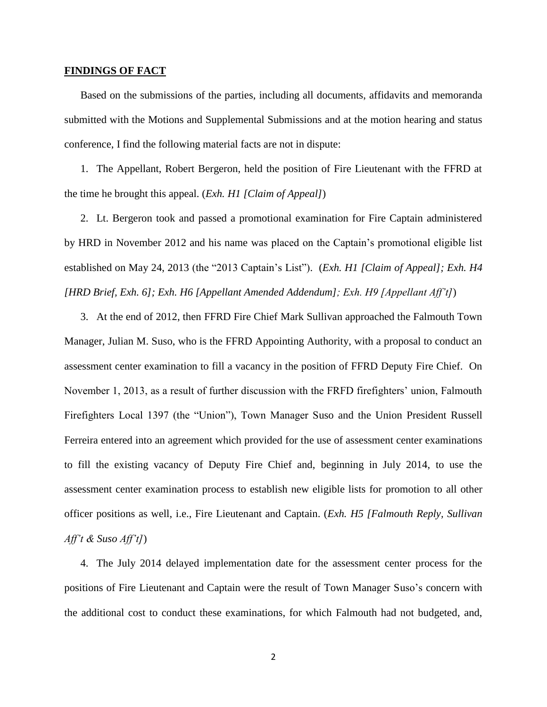### **FINDINGS OF FACT**

Based on the submissions of the parties, including all documents, affidavits and memoranda submitted with the Motions and Supplemental Submissions and at the motion hearing and status conference, I find the following material facts are not in dispute:

1. The Appellant, Robert Bergeron, held the position of Fire Lieutenant with the FFRD at the time he brought this appeal. (*Exh. H1 [Claim of Appeal]*)

2. Lt. Bergeron took and passed a promotional examination for Fire Captain administered by HRD in November 2012 and his name was placed on the Captain's promotional eligible list established on May 24, 2013 (the "2013 Captain's List"). (*Exh. H1 [Claim of Appeal]; Exh. H4 [HRD Brief, Exh. 6]; Exh. H6 [Appellant Amended Addendum]; Exh. H9 [Appellant Aff't]*)

3. At the end of 2012, then FFRD Fire Chief Mark Sullivan approached the Falmouth Town Manager, Julian M. Suso, who is the FFRD Appointing Authority, with a proposal to conduct an assessment center examination to fill a vacancy in the position of FFRD Deputy Fire Chief. On November 1, 2013, as a result of further discussion with the FRFD firefighters' union, Falmouth Firefighters Local 1397 (the "Union"), Town Manager Suso and the Union President Russell Ferreira entered into an agreement which provided for the use of assessment center examinations to fill the existing vacancy of Deputy Fire Chief and, beginning in July 2014, to use the assessment center examination process to establish new eligible lists for promotion to all other officer positions as well, i.e., Fire Lieutenant and Captain. (*Exh. H5 [Falmouth Reply, Sullivan Aff't & Suso Aff't]*)

4. The July 2014 delayed implementation date for the assessment center process for the positions of Fire Lieutenant and Captain were the result of Town Manager Suso's concern with the additional cost to conduct these examinations, for which Falmouth had not budgeted, and,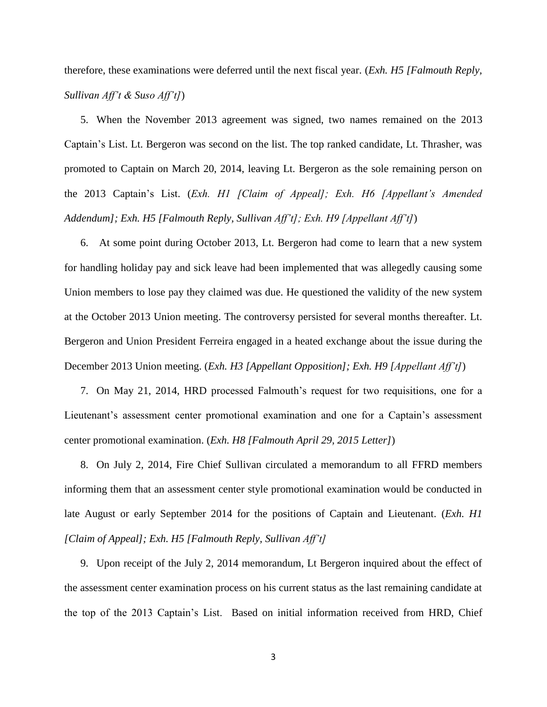therefore, these examinations were deferred until the next fiscal year. (*Exh. H5 [Falmouth Reply, Sullivan Aff't & Suso Aff't]*)

5. When the November 2013 agreement was signed, two names remained on the 2013 Captain's List. Lt. Bergeron was second on the list. The top ranked candidate, Lt. Thrasher, was promoted to Captain on March 20, 2014, leaving Lt. Bergeron as the sole remaining person on the 2013 Captain's List. (*Exh. H1 [Claim of Appeal]; Exh. H6 [Appellant's Amended Addendum]; Exh. H5 [Falmouth Reply, Sullivan Aff't]; Exh. H9 [Appellant Aff't]*)

6. At some point during October 2013, Lt. Bergeron had come to learn that a new system for handling holiday pay and sick leave had been implemented that was allegedly causing some Union members to lose pay they claimed was due. He questioned the validity of the new system at the October 2013 Union meeting. The controversy persisted for several months thereafter. Lt. Bergeron and Union President Ferreira engaged in a heated exchange about the issue during the December 2013 Union meeting. (*Exh. H3 [Appellant Opposition]; Exh. H9 [Appellant Aff't]*)

7. On May 21, 2014, HRD processed Falmouth's request for two requisitions, one for a Lieutenant's assessment center promotional examination and one for a Captain's assessment center promotional examination. (*Exh. H8 [Falmouth April 29, 2015 Letter]*)

8. On July 2, 2014, Fire Chief Sullivan circulated a memorandum to all FFRD members informing them that an assessment center style promotional examination would be conducted in late August or early September 2014 for the positions of Captain and Lieutenant. (*Exh. H1 [Claim of Appeal]; Exh. H5 [Falmouth Reply, Sullivan Aff't]*

9. Upon receipt of the July 2, 2014 memorandum, Lt Bergeron inquired about the effect of the assessment center examination process on his current status as the last remaining candidate at the top of the 2013 Captain's List. Based on initial information received from HRD, Chief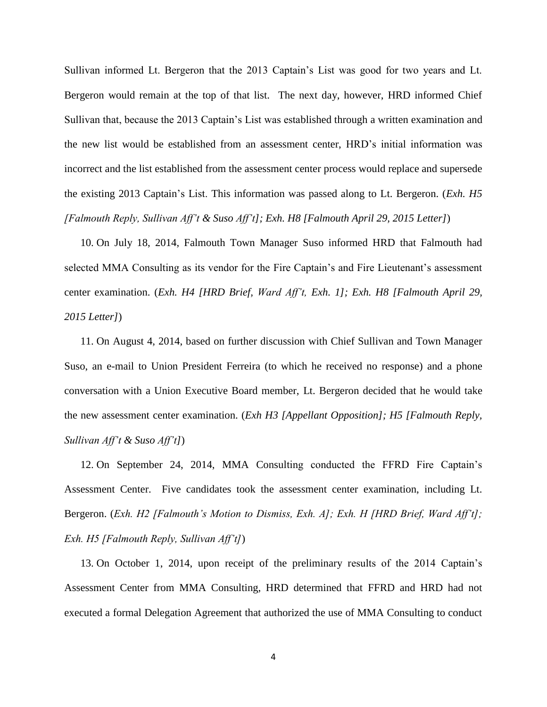Sullivan informed Lt. Bergeron that the 2013 Captain's List was good for two years and Lt. Bergeron would remain at the top of that list. The next day, however, HRD informed Chief Sullivan that, because the 2013 Captain's List was established through a written examination and the new list would be established from an assessment center, HRD's initial information was incorrect and the list established from the assessment center process would replace and supersede the existing 2013 Captain's List. This information was passed along to Lt. Bergeron. (*Exh. H5 [Falmouth Reply, Sullivan Aff't & Suso Aff't]; Exh. H8 [Falmouth April 29, 2015 Letter]*)

10. On July 18, 2014, Falmouth Town Manager Suso informed HRD that Falmouth had selected MMA Consulting as its vendor for the Fire Captain's and Fire Lieutenant's assessment center examination. (*Exh. H4 [HRD Brief, Ward Aff't, Exh. 1]; Exh. H8 [Falmouth April 29, 2015 Letter]*)

11. On August 4, 2014, based on further discussion with Chief Sullivan and Town Manager Suso, an e-mail to Union President Ferreira (to which he received no response) and a phone conversation with a Union Executive Board member, Lt. Bergeron decided that he would take the new assessment center examination. (*Exh H3 [Appellant Opposition]; H5 [Falmouth Reply, Sullivan Aff't & Suso Aff't]*)

12. On September 24, 2014, MMA Consulting conducted the FFRD Fire Captain's Assessment Center. Five candidates took the assessment center examination, including Lt. Bergeron. (*Exh. H2 [Falmouth's Motion to Dismiss, Exh. A]; Exh. H [HRD Brief, Ward Aff't]; Exh. H5 [Falmouth Reply, Sullivan Aff't]*)

13. On October 1, 2014, upon receipt of the preliminary results of the 2014 Captain's Assessment Center from MMA Consulting, HRD determined that FFRD and HRD had not executed a formal Delegation Agreement that authorized the use of MMA Consulting to conduct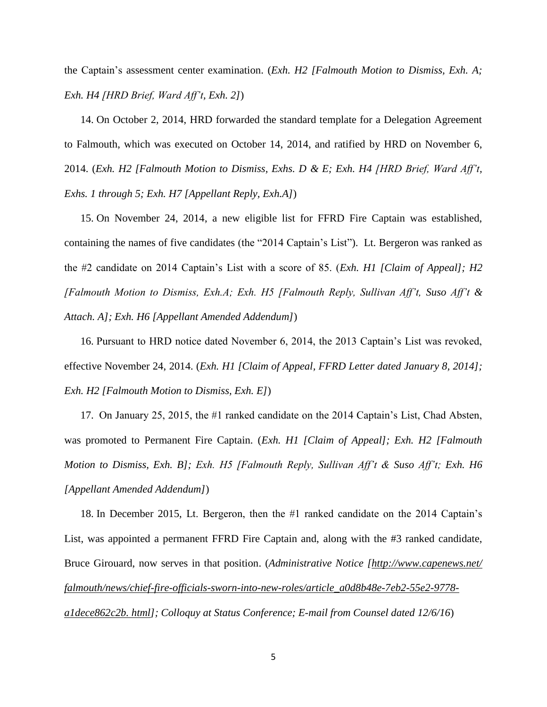the Captain's assessment center examination. (*Exh. H2 [Falmouth Motion to Dismiss, Exh. A; Exh. H4 [HRD Brief, Ward Aff't, Exh. 2]*)

14. On October 2, 2014, HRD forwarded the standard template for a Delegation Agreement to Falmouth, which was executed on October 14, 2014, and ratified by HRD on November 6, 2014. (*Exh. H2 [Falmouth Motion to Dismiss, Exhs. D & E; Exh. H4 [HRD Brief, Ward Aff't, Exhs. 1 through 5; Exh. H7 [Appellant Reply, Exh.A]*)

15. On November 24, 2014, a new eligible list for FFRD Fire Captain was established, containing the names of five candidates (the "2014 Captain's List"). Lt. Bergeron was ranked as the #2 candidate on 2014 Captain's List with a score of 85. (*Exh. H1 [Claim of Appeal]; H2 [Falmouth Motion to Dismiss, Exh.A; Exh. H5 [Falmouth Reply, Sullivan Aff't, Suso Aff't & Attach. A]; Exh. H6 [Appellant Amended Addendum]*)

16. Pursuant to HRD notice dated November 6, 2014, the 2013 Captain's List was revoked, effective November 24, 2014. (*Exh. H1 [Claim of Appeal, FFRD Letter dated January 8, 2014]; Exh. H2 [Falmouth Motion to Dismiss, Exh. E]*)

17. On January 25, 2015, the #1 ranked candidate on the 2014 Captain's List, Chad Absten, was promoted to Permanent Fire Captain. (*Exh. H1 [Claim of Appeal]; Exh. H2 [Falmouth Motion to Dismiss, Exh. B]; Exh. H5 [Falmouth Reply, Sullivan Aff't & Suso Aff't; Exh. H6 [Appellant Amended Addendum]*)

18. In December 2015, Lt. Bergeron, then the #1 ranked candidate on the 2014 Captain's List, was appointed a permanent FFRD Fire Captain and, along with the #3 ranked candidate, Bruce Girouard, now serves in that position. (*Administrative Notice [\[http://www.capenews.net/](http://www.capenews.net/%20falmouth/news/chief-fire-officials-sworn-into-new-roles/article_a0d8b48e-7eb2-55e2-9778-a1dece862c2b.%20html)  [falmouth/news/chief-fire-officials-sworn-into-new-roles/article\\_a0d8b48e-7eb2-55e2-9778](http://www.capenews.net/%20falmouth/news/chief-fire-officials-sworn-into-new-roles/article_a0d8b48e-7eb2-55e2-9778-a1dece862c2b.%20html) [a1dece862c2b. html\]](http://www.capenews.net/%20falmouth/news/chief-fire-officials-sworn-into-new-roles/article_a0d8b48e-7eb2-55e2-9778-a1dece862c2b.%20html); Colloquy at Status Conference; E-mail from Counsel dated 12/6/16*)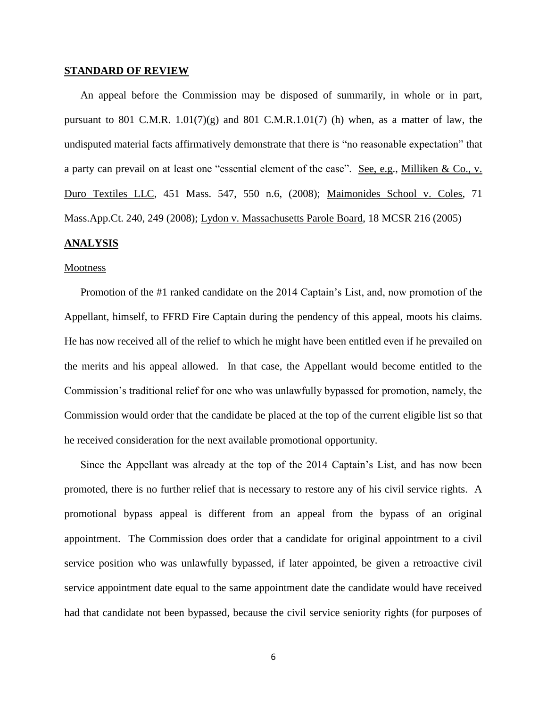#### **STANDARD OF REVIEW**

An appeal before the Commission may be disposed of summarily, in whole or in part, pursuant to 801 C.M.R.  $1.01(7)(g)$  and 801 C.M.R.  $1.01(7)$  (h) when, as a matter of law, the undisputed material facts affirmatively demonstrate that there is "no reasonable expectation" that a party can prevail on at least one "essential element of the case". See, e.g., Milliken & Co., v. Duro Textiles LLC, 451 Mass. 547, 550 n.6, (2008); Maimonides School v. Coles, 71 Mass.App.Ct. 240, 249 (2008); Lydon v. Massachusetts Parole Board, 18 MCSR 216 (2005)

## **ANALYSIS**

#### Mootness

Promotion of the #1 ranked candidate on the 2014 Captain's List, and, now promotion of the Appellant, himself, to FFRD Fire Captain during the pendency of this appeal, moots his claims. He has now received all of the relief to which he might have been entitled even if he prevailed on the merits and his appeal allowed. In that case, the Appellant would become entitled to the Commission's traditional relief for one who was unlawfully bypassed for promotion, namely, the Commission would order that the candidate be placed at the top of the current eligible list so that he received consideration for the next available promotional opportunity.

Since the Appellant was already at the top of the 2014 Captain's List, and has now been promoted, there is no further relief that is necessary to restore any of his civil service rights. A promotional bypass appeal is different from an appeal from the bypass of an original appointment. The Commission does order that a candidate for original appointment to a civil service position who was unlawfully bypassed, if later appointed, be given a retroactive civil service appointment date equal to the same appointment date the candidate would have received had that candidate not been bypassed, because the civil service seniority rights (for purposes of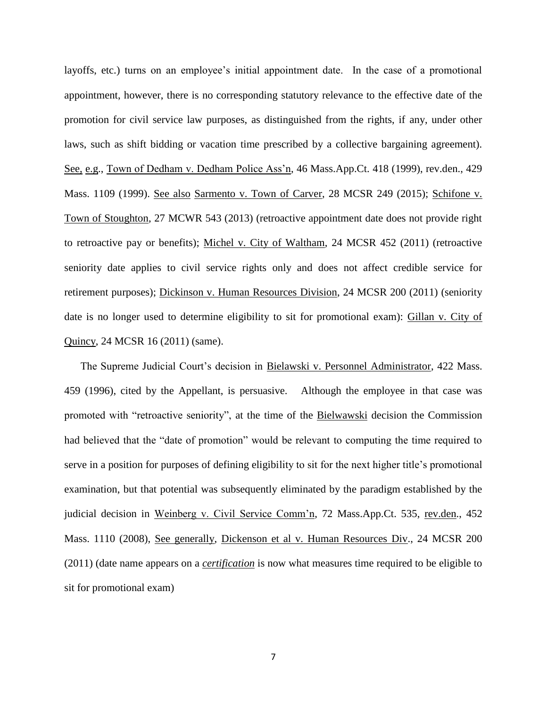layoffs, etc.) turns on an employee's initial appointment date. In the case of a promotional appointment, however, there is no corresponding statutory relevance to the effective date of the promotion for civil service law purposes, as distinguished from the rights, if any, under other laws, such as shift bidding or vacation time prescribed by a collective bargaining agreement). See, e.g., Town of Dedham v. Dedham Police Ass'n, 46 Mass.App.Ct. 418 (1999), rev.den., 429 Mass. 1109 (1999). See also Sarmento v. Town of Carver, 28 MCSR 249 (2015); Schifone v. Town of Stoughton, 27 MCWR 543 (2013) (retroactive appointment date does not provide right to retroactive pay or benefits); Michel v. City of Waltham, 24 MCSR 452 (2011) (retroactive seniority date applies to civil service rights only and does not affect credible service for retirement purposes); Dickinson v. Human Resources Division, 24 MCSR 200 (2011) (seniority date is no longer used to determine eligibility to sit for promotional exam): Gillan v. City of Quincy, 24 MCSR 16 (2011) (same).

The Supreme Judicial Court's decision in Bielawski v. Personnel Administrator, 422 Mass. 459 (1996), cited by the Appellant, is persuasive. Although the employee in that case was promoted with "retroactive seniority", at the time of the Bielwawski decision the Commission had believed that the "date of promotion" would be relevant to computing the time required to serve in a position for purposes of defining eligibility to sit for the next higher title's promotional examination, but that potential was subsequently eliminated by the paradigm established by the judicial decision in Weinberg v. Civil Service Comm'n, 72 Mass.App.Ct. 535, rev.den., 452 Mass. 1110 (2008), See generally, Dickenson et al v. Human Resources Div., 24 MCSR 200 (2011) (date name appears on a *certification* is now what measures time required to be eligible to sit for promotional exam)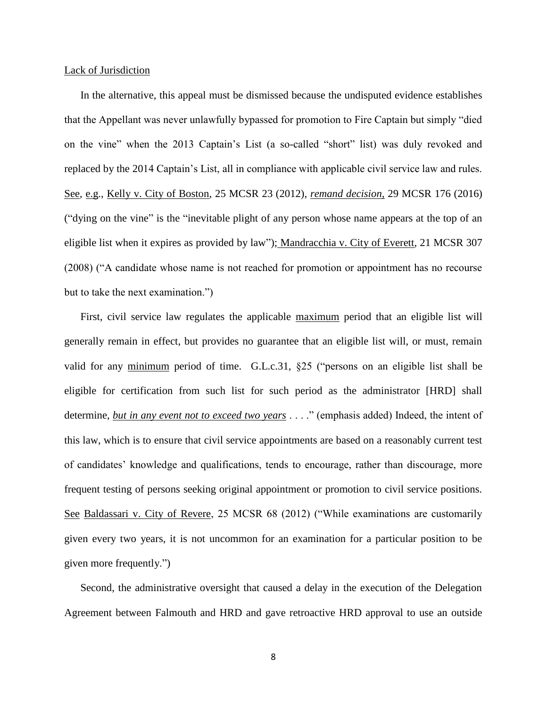### Lack of Jurisdiction

In the alternative, this appeal must be dismissed because the undisputed evidence establishes that the Appellant was never unlawfully bypassed for promotion to Fire Captain but simply "died on the vine" when the 2013 Captain's List (a so-called "short" list) was duly revoked and replaced by the 2014 Captain's List, all in compliance with applicable civil service law and rules. See, e.g., Kelly v. City of Boston, 25 MCSR 23 (2012), *remand decision,* 29 MCSR 176 (2016) ("dying on the vine" is the "inevitable plight of any person whose name appears at the top of an eligible list when it expires as provided by law"); Mandracchia v. City of Everett*,* 21 MCSR 307 (2008) ("A candidate whose name is not reached for promotion or appointment has no recourse but to take the next examination.")

First, civil service law regulates the applicable maximum period that an eligible list will generally remain in effect, but provides no guarantee that an eligible list will, or must, remain valid for any minimum period of time. G.L.c.31, §25 ("persons on an eligible list shall be eligible for certification from such list for such period as the administrator [HRD] shall determine, *but in any event not to exceed two years* . . . ." (emphasis added) Indeed, the intent of this law, which is to ensure that civil service appointments are based on a reasonably current test of candidates' knowledge and qualifications, tends to encourage, rather than discourage, more frequent testing of persons seeking original appointment or promotion to civil service positions. See Baldassari v. City of Revere, 25 MCSR 68 (2012) ("While examinations are customarily given every two years, it is not uncommon for an examination for a particular position to be given more frequently.")

Second, the administrative oversight that caused a delay in the execution of the Delegation Agreement between Falmouth and HRD and gave retroactive HRD approval to use an outside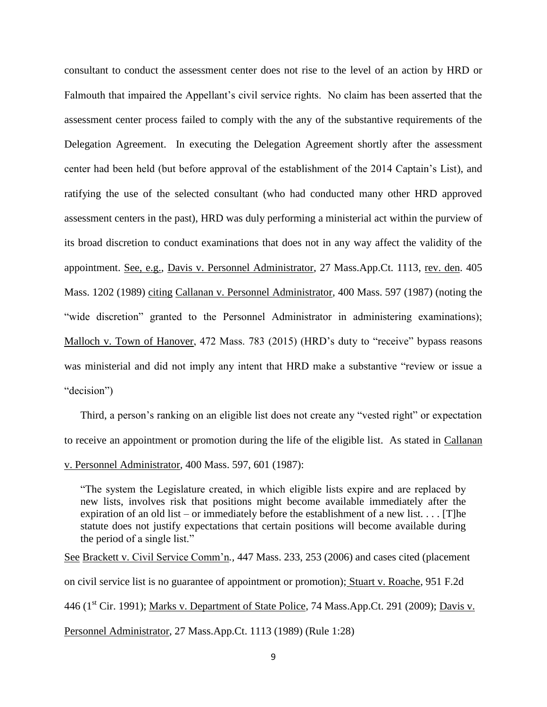consultant to conduct the assessment center does not rise to the level of an action by HRD or Falmouth that impaired the Appellant's civil service rights. No claim has been asserted that the assessment center process failed to comply with the any of the substantive requirements of the Delegation Agreement. In executing the Delegation Agreement shortly after the assessment center had been held (but before approval of the establishment of the 2014 Captain's List), and ratifying the use of the selected consultant (who had conducted many other HRD approved assessment centers in the past), HRD was duly performing a ministerial act within the purview of its broad discretion to conduct examinations that does not in any way affect the validity of the appointment. See, e.g., Davis v. Personnel Administrator, 27 Mass.App.Ct. 1113, rev. den. 405 Mass. 1202 (1989) citing Callanan v. Personnel Administrator, 400 Mass. 597 (1987) (noting the "wide discretion" granted to the Personnel Administrator in administering examinations); Malloch v. Town of Hanover, 472 Mass. 783 (2015) (HRD's duty to "receive" bypass reasons was ministerial and did not imply any intent that HRD make a substantive "review or issue a "decision")

Third, a person's ranking on an eligible list does not create any "vested right" or expectation to receive an appointment or promotion during the life of the eligible list. As stated in Callanan v. Personnel Administrator, 400 Mass. 597, 601 (1987):

"The system the Legislature created, in which eligible lists expire and are replaced by new lists, involves risk that positions might become available immediately after the expiration of an old list – or immediately before the establishment of a new list.  $\dots$  [T]he statute does not justify expectations that certain positions will become available during the period of a single list."

See Brackett v. Civil Service Comm'n*.,* 447 Mass. 233, 253 (2006) and cases cited (placement on civil service list is no guarantee of appointment or promotion); Stuart v. Roache, 951 F.2d 446 (1<sup>st</sup> Cir. 1991); Marks v. Department of State Police, 74 Mass.App.Ct. 291 (2009); <u>Davis v.</u> Personnel Administrator, 27 Mass.App.Ct. 1113 (1989) (Rule 1:28)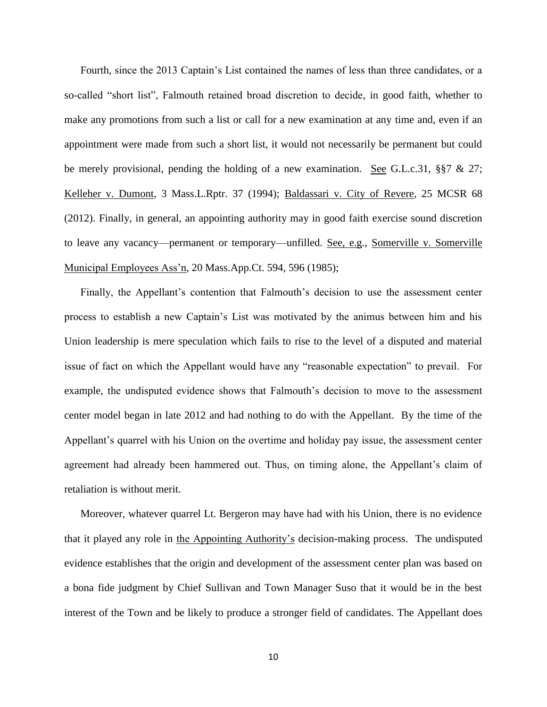Fourth, since the 2013 Captain's List contained the names of less than three candidates, or a so-called "short list", Falmouth retained broad discretion to decide, in good faith, whether to make any promotions from such a list or call for a new examination at any time and, even if an appointment were made from such a short list, it would not necessarily be permanent but could be merely provisional, pending the holding of a new examination. See G.L.c.31, §§7 & 27; Kelleher v. Dumont, 3 Mass.L.Rptr. 37 (1994); Baldassari v. City of Revere, 25 MCSR 68 (2012). Finally, in general, an appointing authority may in good faith exercise sound discretion to leave any vacancy—permanent or temporary—unfilled. See, e.g., Somerville v. Somerville Municipal Employees Ass'n*,* 20 Mass.App.Ct. 594, 596 (1985);

Finally, the Appellant's contention that Falmouth's decision to use the assessment center process to establish a new Captain's List was motivated by the animus between him and his Union leadership is mere speculation which fails to rise to the level of a disputed and material issue of fact on which the Appellant would have any "reasonable expectation" to prevail. For example, the undisputed evidence shows that Falmouth's decision to move to the assessment center model began in late 2012 and had nothing to do with the Appellant. By the time of the Appellant's quarrel with his Union on the overtime and holiday pay issue, the assessment center agreement had already been hammered out. Thus, on timing alone, the Appellant's claim of retaliation is without merit.

Moreover, whatever quarrel Lt. Bergeron may have had with his Union, there is no evidence that it played any role in the Appointing Authority's decision-making process. The undisputed evidence establishes that the origin and development of the assessment center plan was based on a bona fide judgment by Chief Sullivan and Town Manager Suso that it would be in the best interest of the Town and be likely to produce a stronger field of candidates. The Appellant does